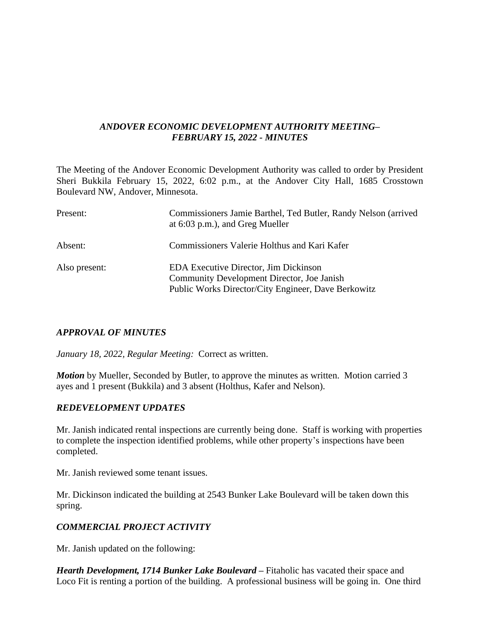## *ANDOVER ECONOMIC DEVELOPMENT AUTHORITY MEETING– FEBRUARY 15, 2022 - MINUTES*

The Meeting of the Andover Economic Development Authority was called to order by President Sheri Bukkila February 15, 2022, 6:02 p.m., at the Andover City Hall, 1685 Crosstown Boulevard NW, Andover, Minnesota.

| Present:      | Commissioners Jamie Barthel, Ted Butler, Randy Nelson (arrived<br>at $6:03$ p.m.), and Greg Mueller                                               |
|---------------|---------------------------------------------------------------------------------------------------------------------------------------------------|
| Absent:       | Commissioners Valerie Holthus and Kari Kafer                                                                                                      |
| Also present: | <b>EDA Executive Director, Jim Dickinson</b><br>Community Development Director, Joe Janish<br>Public Works Director/City Engineer, Dave Berkowitz |

## *APPROVAL OF MINUTES*

*January 18, 2022, Regular Meeting:* Correct as written.

*Motion* by Mueller, Seconded by Butler, to approve the minutes as written. Motion carried 3 ayes and 1 present (Bukkila) and 3 absent (Holthus, Kafer and Nelson).

## *REDEVELOPMENT UPDATES*

Mr. Janish indicated rental inspections are currently being done. Staff is working with properties to complete the inspection identified problems, while other property's inspections have been completed.

Mr. Janish reviewed some tenant issues.

Mr. Dickinson indicated the building at 2543 Bunker Lake Boulevard will be taken down this spring.

# *COMMERCIAL PROJECT ACTIVITY*

Mr. Janish updated on the following:

*Hearth Development, 1714 Bunker Lake Boulevard –* Fitaholic has vacated their space and Loco Fit is renting a portion of the building. A professional business will be going in. One third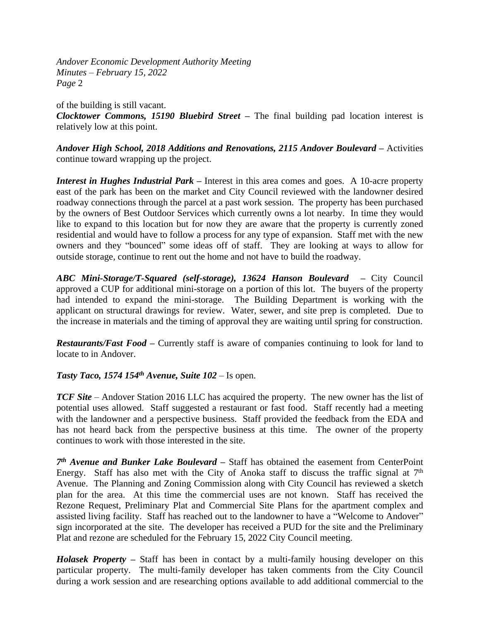*Andover Economic Development Authority Meeting Minutes – February 15, 2022 Page* 2

of the building is still vacant. *Clocktower Commons, 15190 Bluebird Street –* The final building pad location interest is relatively low at this point.

*Andover High School, 2018 Additions and Renovations, 2115 Andover Boulevard –* Activities continue toward wrapping up the project.

*Interest in Hughes Industrial Park –* Interest in this area comes and goes. A 10-acre property east of the park has been on the market and City Council reviewed with the landowner desired roadway connections through the parcel at a past work session. The property has been purchased by the owners of Best Outdoor Services which currently owns a lot nearby. In time they would like to expand to this location but for now they are aware that the property is currently zoned residential and would have to follow a process for any type of expansion. Staff met with the new owners and they "bounced" some ideas off of staff. They are looking at ways to allow for outside storage, continue to rent out the home and not have to build the roadway.

*ABC Mini-Storage/T-Squared (self-storage), 13624 Hanson Boulevard –* City Council approved a CUP for additional mini-storage on a portion of this lot. The buyers of the property had intended to expand the mini-storage. The Building Department is working with the applicant on structural drawings for review. Water, sewer, and site prep is completed. Due to the increase in materials and the timing of approval they are waiting until spring for construction.

*Restaurants/Fast Food –* Currently staff is aware of companies continuing to look for land to locate to in Andover.

## *Tasty Taco, 1574 154th Avenue, Suite 102* – Is open.

*TCF Site* – Andover Station 2016 LLC has acquired the property. The new owner has the list of potential uses allowed. Staff suggested a restaurant or fast food. Staff recently had a meeting with the landowner and a perspective business. Staff provided the feedback from the EDA and has not heard back from the perspective business at this time. The owner of the property continues to work with those interested in the site.

*7 th Avenue and Bunker Lake Boulevard –* Staff has obtained the easement from CenterPoint Energy. Staff has also met with the City of Anoka staff to discuss the traffic signal at  $7<sup>th</sup>$ Avenue. The Planning and Zoning Commission along with City Council has reviewed a sketch plan for the area. At this time the commercial uses are not known. Staff has received the Rezone Request, Preliminary Plat and Commercial Site Plans for the apartment complex and assisted living facility. Staff has reached out to the landowner to have a "Welcome to Andover" sign incorporated at the site. The developer has received a PUD for the site and the Preliminary Plat and rezone are scheduled for the February 15, 2022 City Council meeting.

*Holasek Property –* Staff has been in contact by a multi-family housing developer on this particular property. The multi-family developer has taken comments from the City Council during a work session and are researching options available to add additional commercial to the